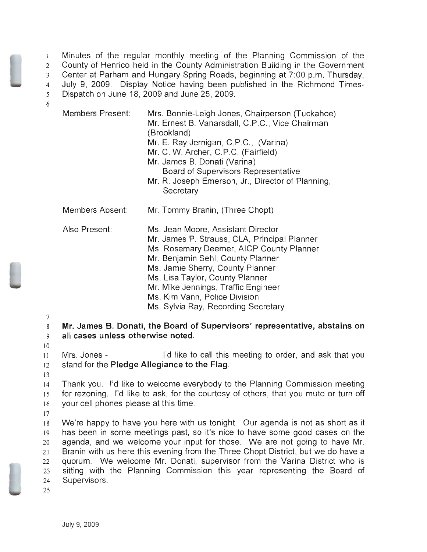I Minutes of the regular monthly meeting of the Planning Commission of the County of Henrico held in the County Administration Building in the Government Center at Parham and Hungary Spring Roads, beginning at 7:00 p.m. Thursday, July 9, 2009. Display Notice having been published in the Richmond Times-Dispatch on June 18,2009 and June 25, 2009.

6

| <b>Members Present:</b> | Mrs. Bonnie-Leigh Jones, Chairperson (Tuckahoe)<br>Mr. Ernest B. Vanarsdall, C.P.C., Vice Chairman<br>(Brookland)<br>Mr. E. Ray Jernigan, C.P.C., (Varina)<br>Mr. C. W. Archer, C.P.C. (Fairfield)<br>Mr. James B. Donati (Varina)<br>Board of Supervisors Representative<br>Mr. R. Joseph Emerson, Jr., Director of Planning, |
|-------------------------|--------------------------------------------------------------------------------------------------------------------------------------------------------------------------------------------------------------------------------------------------------------------------------------------------------------------------------|
| Members Absent:         | Secretary<br>Mr. Tommy Branin, (Three Chopt)                                                                                                                                                                                                                                                                                   |
|                         |                                                                                                                                                                                                                                                                                                                                |
| Also Present:           | Ms. Jean Moore, Assistant Director<br>Mr. James P. Strauss, CLA, Principal Planner<br>Ms. Rosemary Deemer, AICP County Planner<br>Mr. Benjamin Sehl, County Planner<br>Ms. Jamie Sherry, County Planner<br>Ms. Lisa Taylor, County Planner                                                                                     |

Mr. Mike Jennings, Traffic Engineer

Ms. Kim Vann, Police Division

Ms. Sylvia Ray, Recording Secretary

7

8 **Mr. James B. Donati, the Board of Supervisors' representative, abstains on**  9 **all cases unless otherwise noted.** 

10

II Mrs. Jones I'd like to call this meeting to order, and ask that you 12 stand for the **Pledge Allegiance to the** Flag.

13

14 Thank you. I'd like to welcome everybody to the Planning Commission meeting 15 for rezoning. I'd like to ask, for the courtesy of others, that you mute or turn off 16 your cell phones please at this time.

17

We're happy to have you here with us tonight. Our agenda is not as short as it has been in some meetings past, so it's nice to have some good cases on the agenda, and we welcome your input for those. We are not going to have Mr. 21 Branin with us here this evening from the Three Chopt District, but we do have a quorum. We welcome Mr. Donati, supervisor from the Varina District who is sitting with the Planning Commission this year representing the Board of 24 Supervisors.

25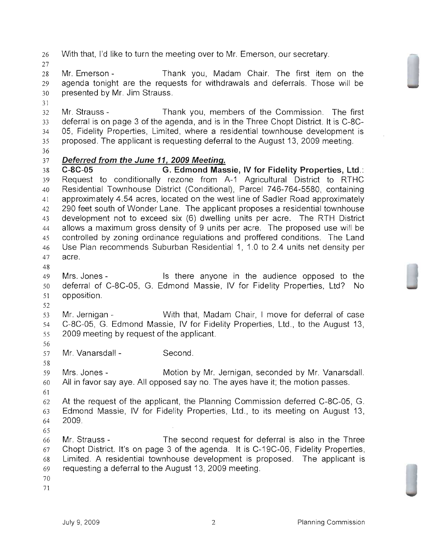With that, I'd like to turn the meeting over to Mr. Emerson, our secretary.

Mr. Emerson - Thank you, Madam Chair. The first item on the agenda tonight are the requests for withdrawals and deferrals. Those will be presented by Mr. Jim Strauss.

 Mr. Strauss - Thank you, members of the Commission. The first deferral is on page 3 of the agenda, and is in the Three Chopt District. It is C-8C-05, Fidelity Properties, Limited, where a residential townhouse development is proposed. The applicant is requesting deferral to the August 13, 2009 meeting.

## **Deferred from the June 11, 2009 Meeting.**

**C-8C-05 G. Edmond Massie, IV for Fidelity Properties,** ltd.: Request to conditionally rezone from A-1 Agricultural District to RTHC Residential Townhouse District (Conditional), Parcel 746-764-5580, containing 41 approximately 4.54 acres, located on the west line of Sadler Road approximately 290 feet south of Wonder Lane. The applicant proposes a residential townhouse development not to exceed six (6) dwelling units per acre. The RTH District allows a maximum gross density of 9 units per acre. The proposed use will be controlled by zoning ordinance regulations and proffered conditions. The Land Use Plan recommends Suburban Residential 1, 1.0 to 2.4 units net density per acre.

Mrs. Jones - Is there anyone in the audience opposed to the deferral of C-8C-05, G. Edmond Massie, IV for Fidelity Properties, Ltd? No opposition.

Mr. Jernigan - With that, Madam Chair, I move for deferral of case C-8C-05, G. Edmond Massie, IV for Fidelity Properties, Ltd., to the August 13, 2009 meeting by request of the applicant.

Mr. Vanarsdall - Second.

 Mrs. Jones - Motion by Mr. Jernigan, seconded by Mr. Vanarsdall. All in favor say aye. All opposed say no. The ayes have it; the motion passes. 

At the request of the applicant, the Planning Commission deferred C-8C-05, G. Edmond Massie, IV for Fidelity Properties, Ltd., to its meeting on August 13, 2009.

 Mr. Strauss - The second request for deferral is also in the Three Chopt District. It's on page 3 of the agenda. It is C-19C-06, Fidelity Properties, Limited. A residential townhouse development is proposed. The applicant is requesting a deferral to the August 13, 2009 meeting.

- 
-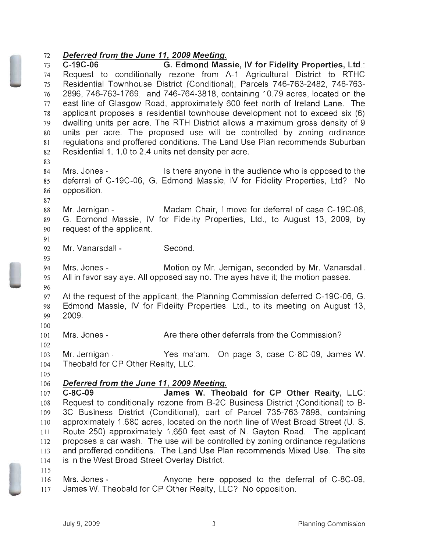## Deferred from the June 11, 2009 Meeting.

C-19C-06 G. Edmond Massie, IV for Fidelity Properties, Ltd.: Request to conditionally rezone from A-1 Agricultural District to RTHC Residential Townhouse District (Conditional), Parcels 746-763-2482, 746-763 2896, 746-763-1769, and 746-764-3818, containing 10.79 acres, located on the 77 east line of Glasgow Road, approximately 600 feet north of Ireland Lane. The applicant proposes a residential townhouse development not to exceed six (6) dwelling units per acre. The RTH District allows a maximum gross density of 9 units per acre. The proposed use will be controlled by zoning ordinance regulations and proffered conditions. The Land Use Plan recommends Suburban Residential 1, 1.0 to 2.4 units net density per acre. Mrs. Jones - Is there anyone in the audience who is opposed to the deferral of C-19C-06, G. Edmond Massie, IV for Fidelity Properties, Ltd? No opposition. 88 Mr. Jernigan - Madam Chair, I move for deferral of case C-19C-06, G. Edmond Massie, IV for Fidelity Properties, Ltd., to August 13, 2009, by request of the applicant. Mr. Vanarsdall - Second. Mrs. Jones - Motion by Mr. Jernigan, seconded by Mr. Vanarsdall. All in favor say aye. All opposed say no. The ayes have it; the motion passes. At the request of the applicant, the Planning Commission deferred C-19C-06, G. Edmond Massie, IV for Fidelity Properties, Ltd., to its meeting on August 13, 2009. Mrs. Jones- Are there other deferrals from the Commission? Mr. Jernigan - Yes ma'am. On page 3, case C-8C-09, James W. Theobald for CP Other Realty, LLC. 106 Deferred from the June 11, 2009 Meeting. C-BC-09 James W. Theobald for CP Other Realty, LLC: Request to conditionally rezone from B-2C Business District (Conditional) to B 3C Business District (Conditional), part of Parcel 735-763-7898, containing 110 approximately 1.680 acres, located on the north line of West Broad Street (U. S. Route 250) approximately 1,650 feet east of N. Gayton Road. The applicant proposes a car wash. The use will be controlled by zoning ordinance regulations and proffered conditions. The Land Use Plan recommends Mixed Use. The site is in the West Broad Street Overlay District. Mrs. Jones - Anyone here opposed to the deferral of C-8C-09,

117 James W. Theobald for CP Other Realty, LLC? No opposition.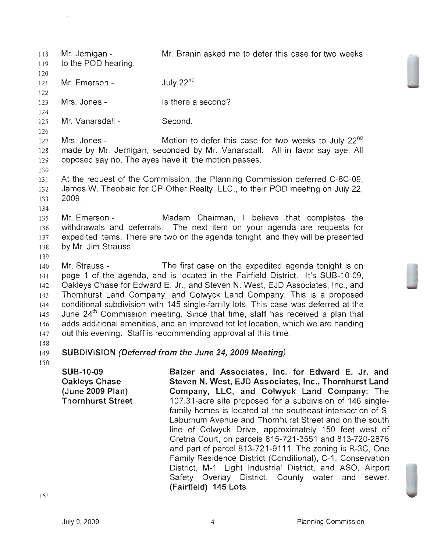Mr. Jernigan - Mr. Branin asked me to defer this case for two weeks 118 to the POD hearing. 119 120 July  $22<sup>nd</sup>$ . 121 Mr. Emerson - 122 123 Mrs. Jones - Is there a second? 124 Mr. Vanarsdall - Second. 125 126 Mrs. Jones - Motion to defer this case for two weeks to July 22<sup>nd</sup> 127 made by Mr. Jernigan, seconded by Mr. Vanarsdall. All in favor say aye. All 128 opposed say no. The ayes have it; the motion passes. 129 130 At the request of the Commission, the Planning Commission deferred C-8C-09, 131 James W. Theobald for CP Other Realty, LLC., to their POD meeting on July 22, 132 2009. 133 134 Mr. Emerson - Madam Chairman, I believe that completes the 135 withdrawals and deferrals. The next item on your agenda are requests for 136 expedited items. There are two on the agenda tonight, and they will be presented 137 by Mr. Jim Strauss. 138 139 140 Mr. Strauss - The first case on the expedited agenda tonight is on page 1 of the agenda, and is located in the Fairfield District. It's SUB-10-09, 141 Oakleys Chase for Edward E. Jr., and Steven N. West, EJD Associates, Inc., and 142 Thornhurst Land Company, and Colwyck Land Company. This is a proposed 143 conditional subdivision with 145 single-family lots. This case was deferred at the 144 June  $24<sup>th</sup>$  Commission meeting. Since that time, staff has received a plan that 145 adds additional amenities, and an improved tot lot location, which we are handing 146 out this evening. Staff is recommending approval at this time. 147 148 SUBDIVISION (Deferred from the June 24, 2009 Meeting) 149 ISO SLlB-10-09 Balzer and Associates, Inc. for Edward E. Jr. and

Oakleys Chase (June 2009 Plan) Thornhurst Street Steven N. West, EJD Associates, Inc., Thornhurst Land Company, LLC, and Colwyck Land Company: The 107.31-acre site proposed for a subdivision of 146 singlefamily homes is located at the southeast intersection of S. Laburnum Avenue and Thornhurst Street and on the south line of Colwyck Drive, approximately 150 feet west of Gretna Court, on parcels 815-721-3551 and 813-720-2876 and part of parcel 813-721-9111. The zoning is R-3C, One Family Residence District (Conditional), C-1, Conservation District, M-1, Light Industrial District, and ASO, Airport Safety Overlay District. County water and sewer. (Fairfield) 145 Lots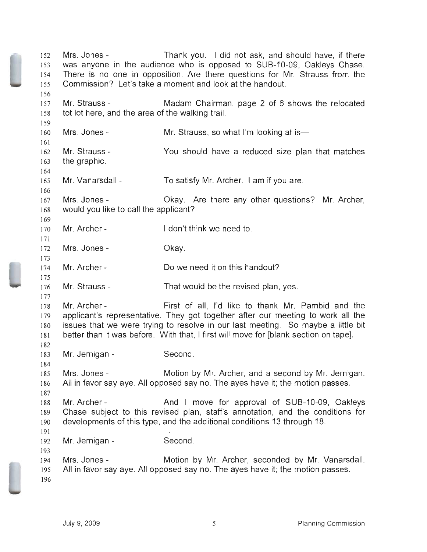Mrs. Jones - Thank you. I did not ask, and should have, if there was anyone in the audience who is opposed to SUB-10-09, Oakleys Chase. There is no one in opposition. Are there questions for Mr. Strauss from the Commission? Let's take a moment and look at the handout. Mr. Strauss - Madam Chairman, page 2 of 6 shows the relocated tot lot here, and the area of the walking trail. Mrs. Jones- Mr. Strauss the graphic. Mr. Vanarsdall Mrs. Jones - Mr. Strauss, so what I'm looking at is-You should have a reduced size plan that matches To satisfy Mr. Archer. I am if you are. Okay. Are there any other questions? Mr. Archer, would you like to call the applicant? Mr. Archer- Mrs. Jones- Mr. Archer- Mr. Strauss 178 Mr. Archer I don't think we need to. Okay. Do we need it on this handout? That would be the revised plan, yes. First of all, I'd like to thank Mr. Pambid and the applicant's representative. They got together after our meeting to work all the issues that we were trying to resolve in our last meeting. So maybe a little bit better than it was before. With that, I first will move for [blank section on tape]. Mr. Jernigan - Second. Mrs. Jones - Motion by Mr. Archer, and a second by Mr. Jernigan. All in favor say aye. All opposed say no. The ayes have it; the motion passes. Mr. Archer - And I move for approval of SUB-10-09, Oakleys Chase subject to this revised plan, staff's annotation, and the conditions for developments of this type, and the additional conditions 13 through 18. Mr. Jernigan - Second. Mrs. Jones - Motion by Mr. Archer, seconded by Mr. Vanarsdall. All in favor say aye. All opposed say no. The ayes have it; the motion passes.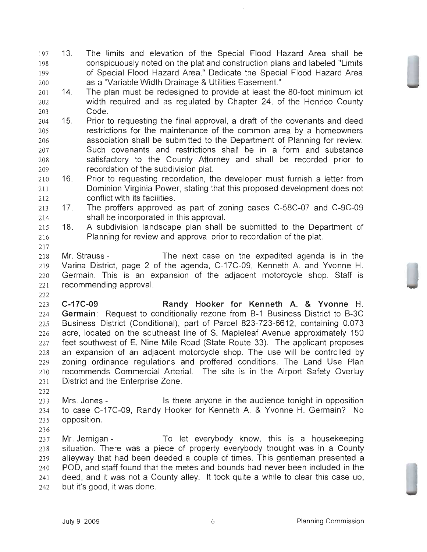- 13. The limits and elevation of the Special Flood Hazard Area shall be conspicuously noted on the plat and construction plans and labeled "Limits of Special Flood Hazard Area." Dedicate the Special Flood Hazard Area as a "Variable Width Drainage & Utilities Easement."
- 14. The plan must be redesigned to provide at least the 80-foot minimum lot width required and as regulated by Chapter 24, of the Henrico County Code.
- 15. Prior to requesting the final approval, a draft of the covenants and deed restrictions for the maintenance of the common area by a homeowners association shall be submitted to the Department of Planning for review. Such covenants and restrictions shall be in a form and substance satisfactory to the County Attorney and shall be recorded prior to recordation of the subdivision plat.
- 16. Prior to requesting recordation, the developer must furnish a letter from Dominion Virginia Power, stating that this proposed development does not conflict with its facilities.
- 17. The proffers approved as part of zoning cases C-58C-07 and C-9C-09 shall be incorporated in this approval.
- 18. A subdivision landscape plan shall be submitted to the Department of Planning for review and approval prior to recordation of the plat.
- 

Mr. Strauss - The next case on the expedited agenda is in the Varina District, page 2 of the agenda, C-17C-09, Kenneth A. and Yvonne H. Germain. This is an expansion of the adjacent motorcycle shop. Staff is recommending approval.

**C-17C-09 Randy Hooker for Kenneth A. & Yvonne H. Germain:** Request to conditionally rezone from B-1 Business District to B-3C Business District (Conditional), part of Parcel 823-723-6612, containing 0.073 acre, located on the southeast line of S. Mapleleaf Avenue approximately 150 feet southwest of E. Nine Mile Road (State Route 33). The applicant proposes an expansion of an adjacent motorcycle shop. The use will be controlled by zoning ordinance regulations and proffered conditions. The Land Use Plan recommends Commercial Arterial. The site is in the Airport Safety Overlay District and the Enterprise Zone.

Mrs. Jones - Is there anyone in the audience tonight in opposition to case C-17C-09, Randy Hooker for Kenneth A. & Yvonne H. Germain? No opposition.

Mr. Jernigan - To let everybody know, this is a housekeeping situation. There was a piece of property everybody thought was in a County alleyway that had been deeded a couple of times. This gentleman presented a POD, and staff found that the metes and bounds had never been included in the deed, and it was not a County alley. It took quite a while to clear this case up, but it's good, it was done.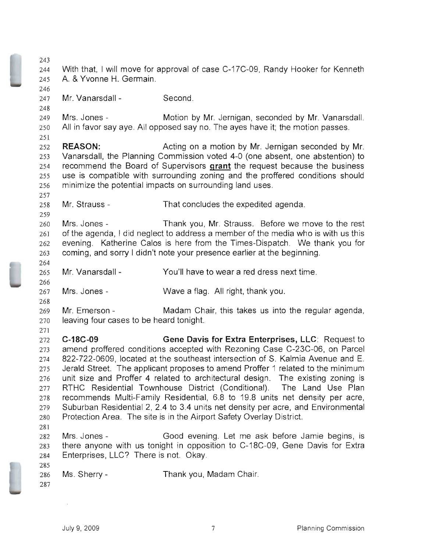With that, I will move for approval of case C-17C-09, Randy Hooker for Kenneth A. & Yvonne H. Germain. Mr. Vanarsdall - Second. Mrs. Jones - Motion by Mr. Jernigan, seconded by Mr. Vanarsdall. All in favor say aye. All opposed say no. The ayes have it; the motion passes. **REASON:** Acting on a motion by Mr. Jernigan seconded by Mr. Vanarsdall, the Planning Commission voted 4-0 (one absent, one abstention) to recommend the Board of Supervisors **grant** the request because the business use is compatible with surrounding zoning and the proffered conditions should minimize the potential impacts on surrounding land uses. Mr. Strauss - That concludes the expedited agenda. Mrs. Jones - Thank you, Mr. Strauss. Before we move to the rest of the agenda, I did neglect to address a member of the media who is with us this evening. Katherine Calos is here from the Times-Dispatch. We thank you for coming, and sorry I didn't note your presence earlier at the beginning. Mr. Vanarsdall - You'll have to wear a red dress next time. Mrs. Jones- Wave a flag. All right, thank you. Mr. Emerson - Madam Chair, this takes us into the regular agenda, leaving four cases to be heard tonight. **C-18C-09 Gene Davis for Extra Enterprises,** LLC: Request to amend proffered conditions accepted with Rezoning Case C-23C-06, on Parcel 822-722-0609, located at the southeast intersection of S. Kalmia Avenue and E. Jerald Street. The applicant proposes to amend Proffer 1 related to the minimum unit size and Proffer 4 related to architectural design. The existing zoning is RTHC Residential Townhouse District (Conditional). The Land Use Plan recommends Multi-Family Residential, 6.8 to 19.8 units net density per acre, Suburban Residential 2, 2.4 to 3.4 units net density per acre, and Environmental Protection Area. The site is in the Airport Safety Overlay District. Mrs. Jones - Good evening. Let me ask before Jamie begins, is there anyone with us tonight in opposition to C-18C-09, Gene Davis for Extra Enterprises, LLC? There is not. Okay. Ms. Sherry- Thank you, Madam Chair.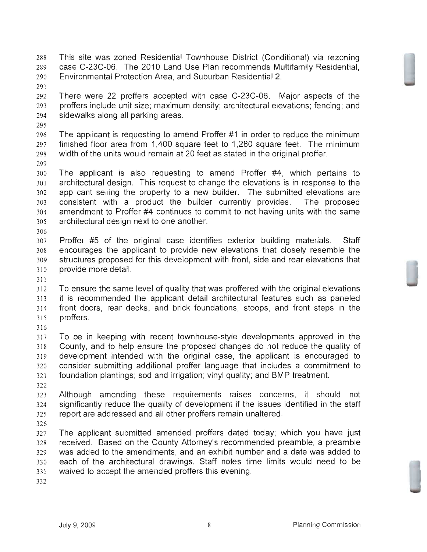- This site was zoned Residential Townhouse District (Conditional) via rezoning case C-23C-06. The 2010 Land Use Plan recommends Multifamily Residential, Environmental Protection Area, and Suburban Residential 2.
- 

There were 22 proffers accepted with case C-23C-06. Major aspects of the proffers include unit size; maximum density; architectural elevations; fencing; and sidewalks along all parking areas.

The applicant is requesting to amend Proffer #1 in order to reduce the minimum finished floor area from 1,400 square feet to 1,280 square feet. The minimum width of the units would remain at 20 feet as stated in the original proffer.

The applicant is also requesting to amend Proffer #4, which pertains to architectural design. This request to change the elevations is in response to the applicant selling the property to a new builder. The submitted elevations are consistent with a product the builder currently provides. The proposed amendment to Proffer #4 continues to commit to not having units with the same architectural design next to one another.

Proffer #5 of the original case identifies exterior building materials. Staff encourages the applicant to provide new elevations that closely resemble the structures proposed for this development with front, side and rear elevations that provide more detail.

To ensure the same level of quality that was proffered with the original elevations it is recommended the applicant detail architectural features such as paneled front doors, rear decks, and brick foundations, stoops, and front steps in the proffers. 

To be in keeping with recent townhouse-style developments approved in the County, and to help ensure the proposed changes do not reduce the quality of development intended with the original case, the applicant is encouraged to consider submitting additional proffer language that includes a commitment to foundation plantings; sod and irrigation; vinyl quality; and BMP treatment.

Although amending these requirements raises concerns, it should not significantly reduce the quality of development if the issues identified in the staff report are addressed and all other proffers remain unaltered.

The applicant submitted amended proffers dated today; which you have just received. Based on the County Attorney's recommended preamble, a preamble was added to the amendments, and an exhibit number and a date was added to each of the architectural drawings. Staff notes time limits would need to be waived to accept the amended proffers this evening.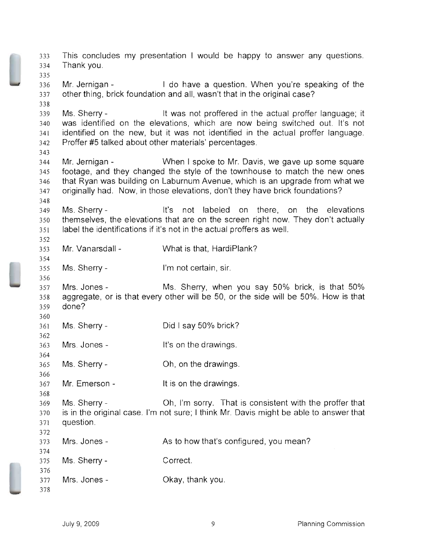This concludes my presentation I would be happy to answer any questions. Thank you. Mr, Jernigan - I do have a question. When you're speaking of the other thing, brick foundation and all, wasn't that in the original case? Ms. Sherry - It was not proffered in the actual proffer language; it was identified on the elevations, which are now being switched out. It's not identified on the new, but it was not identified in the actual proffer language. Proffer #5 talked about other materials' percentages. Mr. Jernigan - When I spoke to Mr. Davis, we gave up some square footage, and they changed the style of the townhouse to match the new ones that Ryan was building on Laburnum Avenue, which is an upgrade from what we originally had. Now, in those elevations, don't they have brick foundations? Ms. Sherry - It's not labeled on there, on the elevations themselves, the elevations that are on the screen right now. They don't actually label the identifications if it's not in the actual proffers as well. Mr, Vanarsdall - What is that, HardiPlank? Ms. Sherry- I'm not certain, sir. Mrs. Jones - Ms. Sherry, when you say 50% brick, is that 50% aggregate, or is that every other will be 50, or the side will be 50%. How is that done? Ms. Sherry- Mrs. Jones Ms. Sherry- Mr. Emerson Ms. Sherry Did I say 50% brick? It's on the drawings. Oh, on the drawings. It is on the drawings. Oh, I'm sorry. That is consistent with the proffer that is in the original case. I'm not sure; I think Mr. Davis might be able to answer that question. Mrs. Jones- As to how that's configured, you mean? Ms. Sherry- Correct. Mrs. Jones - Okay, thank you.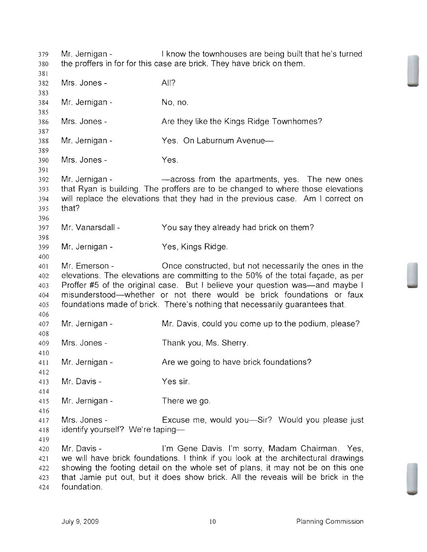Mr. Jernigan - I know the townhouses are being built that he's turned the proffers in for for this case are brick. They have brick on them. Mrs. Jones Mr. Jernigan Mrs. Jones- Mr. Jernigan Mrs. Jones Mr. Jernigan All? No, no. Are they like the Kings Ridge Townhomes? Yes. On Laburnum Avenue-Yes. -across from the apartments, yes. The new ones that Ryan is building. The proffers are to be changed to where those elevations will replace the elevations that they had in the previous case. Am I correct on that? Mr. Vanarsdall - You say they already had brick on them? Mr. Jernigan - Yes, Kings Ridge. Mr. Emerson - Once constructed, but not necessarily the ones in the 402 elevations. The elevations are committing to the 50% of the total facade, as per Proffer #5 of the original case. But I believe your question was-and maybe I misunderstood-whether or not there would be brick foundations or faux foundations made of brick. There's nothing that necessarily guarantees that. Mr. Jernigan Mrs. Jones Mr. Jernigan Mr. Davis Mr. Jernigan Mrs. Jones Mr. Davis, could you come up to the podium, please? Thank you, Ms. Sherry. Are we going to have brick foundations? Yes sir. There we go. Excuse me, would you—Sir? Would you please just 418 identify yourself? We're taping- Mr. Davis - I'm Gene Davis. I'm sorry, Madam Chairman. Yes, we will have brick foundations. I think if you look at the architectural drawings showing the footing detail on the whole set of plans, it may not be on this one that Jamie put out, but it does show brick. All the reveals will be brick in the foundation.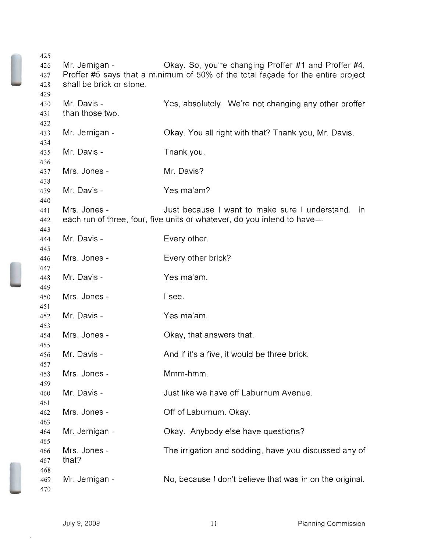| 425  |                                                                                  |                                                                         |  |
|------|----------------------------------------------------------------------------------|-------------------------------------------------------------------------|--|
| 426  | Mr. Jernigan -                                                                   | Okay. So, you're changing Proffer #1 and Proffer #4.                    |  |
| 427  | Proffer #5 says that a minimum of 50% of the total façade for the entire project |                                                                         |  |
| 428  | shall be brick or stone.                                                         |                                                                         |  |
| 429  |                                                                                  |                                                                         |  |
| 430  | Mr. Davis -                                                                      | Yes, absolutely. We're not changing any other proffer                   |  |
| 431  | than those two.                                                                  |                                                                         |  |
|      |                                                                                  |                                                                         |  |
| 432  |                                                                                  |                                                                         |  |
| 433  | Mr. Jernigan -                                                                   | Okay. You all right with that? Thank you, Mr. Davis.                    |  |
| 434  |                                                                                  |                                                                         |  |
| 435  | Mr. Davis -                                                                      | Thank you.                                                              |  |
| 436  |                                                                                  |                                                                         |  |
| 437  | Mrs. Jones -                                                                     | Mr. Davis?                                                              |  |
| 438  |                                                                                  |                                                                         |  |
| 439  | Mr. Davis -                                                                      | Yes ma'am?                                                              |  |
| 440  |                                                                                  |                                                                         |  |
| 44 l | Mrs. Jones -                                                                     | Just because I want to make sure I understand. In                       |  |
| 442  |                                                                                  | each run of three, four, five units or whatever, do you intend to have— |  |
| 443  |                                                                                  |                                                                         |  |
| 444  | Mr. Davis -                                                                      | Every other.                                                            |  |
| 445  |                                                                                  |                                                                         |  |
|      | Mrs. Jones -                                                                     |                                                                         |  |
| 446  |                                                                                  | Every other brick?                                                      |  |
| 447  |                                                                                  |                                                                         |  |
| 448  | Mr. Davis -                                                                      | Yes ma'am.                                                              |  |
| 449  |                                                                                  |                                                                         |  |
| 450  | Mrs. Jones -                                                                     | I see.                                                                  |  |
| 451  |                                                                                  |                                                                         |  |
| 452  | Mr. Davis -                                                                      | Yes ma'am.                                                              |  |
| 453  |                                                                                  |                                                                         |  |
| 454  | Mrs. Jones -                                                                     | Okay, that answers that.                                                |  |
| 455  |                                                                                  |                                                                         |  |
| 456  | Mr. Davis -                                                                      | And if it's a five, it would be three brick.                            |  |
| 457  |                                                                                  |                                                                         |  |
| 458  | Mrs. Jones -                                                                     | Mmm-hmm.                                                                |  |
| 459  |                                                                                  |                                                                         |  |
| 460  | Mr. Davis -                                                                      | Just like we have off Laburnum Avenue.                                  |  |
| 461  |                                                                                  |                                                                         |  |
| 462  | Mrs. Jones -                                                                     | Off of Laburnum. Okay.                                                  |  |
| 463  |                                                                                  |                                                                         |  |
| 464  | Mr. Jernigan -                                                                   | Okay. Anybody else have questions?                                      |  |
| 465  |                                                                                  |                                                                         |  |
| 466  | Mrs. Jones -                                                                     | The irrigation and sodding, have you discussed any of                   |  |
|      | that?                                                                            |                                                                         |  |
| 467  |                                                                                  |                                                                         |  |
| 468  |                                                                                  |                                                                         |  |
| 469  | Mr. Jernigan -                                                                   | No, because I don't believe that was in on the original.                |  |
| 470  |                                                                                  |                                                                         |  |

 $\hat{\mathcal{A}}$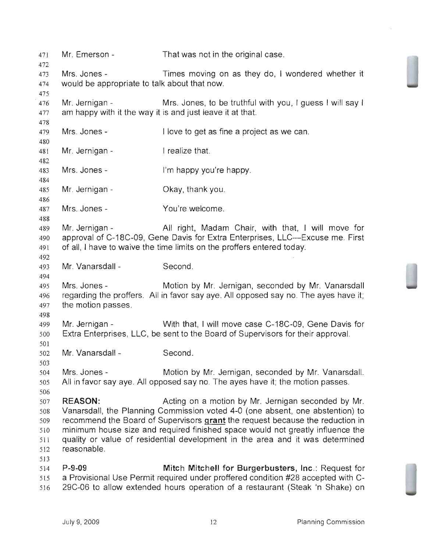| 471                                                  | Mr. Emerson -                                                | That was not in the original case.                                                                                                                                                                                                                                                                                                                                                      |
|------------------------------------------------------|--------------------------------------------------------------|-----------------------------------------------------------------------------------------------------------------------------------------------------------------------------------------------------------------------------------------------------------------------------------------------------------------------------------------------------------------------------------------|
| 472<br>473<br>474                                    | Mrs. Jones -<br>would be appropriate to talk about that now. | Times moving on as they do, I wondered whether it                                                                                                                                                                                                                                                                                                                                       |
| 475<br>476<br>477                                    | Mr. Jernigan -                                               | Mrs. Jones, to be truthful with you, I guess I will say I<br>am happy with it the way it is and just leave it at that.                                                                                                                                                                                                                                                                  |
| 478<br>479                                           | Mrs. Jones -                                                 | I love to get as fine a project as we can.                                                                                                                                                                                                                                                                                                                                              |
| 480<br>481                                           | Mr. Jernigan -                                               | I realize that.                                                                                                                                                                                                                                                                                                                                                                         |
| 482<br>483                                           | Mrs. Jones -                                                 | I'm happy you're happy.                                                                                                                                                                                                                                                                                                                                                                 |
| 484<br>485                                           | Mr. Jernigan -                                               | Okay, thank you.                                                                                                                                                                                                                                                                                                                                                                        |
| 486<br>487                                           | Mrs. Jones -                                                 | You're welcome.                                                                                                                                                                                                                                                                                                                                                                         |
| 488<br>489<br>490<br>491                             | Mr. Jernigan -                                               | All right, Madam Chair, with that, I will move for<br>approval of C-18C-09, Gene Davis for Extra Enterprises, LLC—Excuse me. First<br>of all, I have to waive the time limits on the proffers entered today.                                                                                                                                                                            |
| 492<br>493<br>494                                    | Mr. Vanarsdall -                                             | Second.                                                                                                                                                                                                                                                                                                                                                                                 |
| 495<br>496<br>497                                    | Mrs. Jones -<br>the motion passes.                           | Motion by Mr. Jernigan, seconded by Mr. Vanarsdall<br>regarding the proffers. All in favor say aye. All opposed say no. The ayes have it;                                                                                                                                                                                                                                               |
| 498<br>499<br>500                                    | Mr. Jernigan -                                               | With that, I will move case C-18C-09, Gene Davis for<br>Extra Enterprises, LLC, be sent to the Board of Supervisors for their approval.                                                                                                                                                                                                                                                 |
| 501<br>502                                           | Mr. Vanarsdall -                                             | Second.                                                                                                                                                                                                                                                                                                                                                                                 |
| 503<br>504<br>505                                    | Mrs. Jones -                                                 | Motion by Mr. Jernigan, seconded by Mr. Vanarsdall.<br>All in favor say aye. All opposed say no. The ayes have it; the motion passes.                                                                                                                                                                                                                                                   |
| 506<br>507<br>508<br>509<br>510<br>511<br>512<br>513 | <b>REASON:</b><br>reasonable.                                | Acting on a motion by Mr. Jernigan seconded by Mr.<br>Vanarsdall, the Planning Commission voted 4-0 (one absent, one abstention) to<br>recommend the Board of Supervisors grant the request because the reduction in<br>minimum house size and required finished space would not greatly influence the<br>quality or value of residential development in the area and it was determined |
| 514<br>515<br>516                                    | $P-9-09$                                                     | Mitch Mitchell for Burgerbusters, Inc.: Request for<br>a Provisional Use Permit required under proffered condition #28 accepted with C-<br>29C-06 to allow extended hours operation of a restaurant (Steak 'n Shake) on                                                                                                                                                                 |

 $\mathcal{A}^{\mathcal{A}}$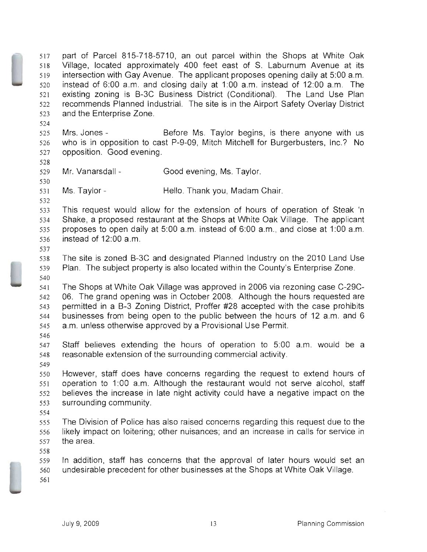part of Parcel 815-718-5710, an out parcel within the Shops at White Oak Village, located approximately 400 feet east of S. Laburnum Avenue at its intersection with Gay Avenue. The applicant proposes opening daily at 5:00 a.m. instead of 6:00 a.m. and closing daily at 1:00 a.m. instead of 12:00 a.m. The existing zoning is B-3C Business District (Conditional). The Land Use Plan recommends Planned Industrial. The site is in the Airport Safety Overlay District and the Enterprise Zone.

525 Mrs. Jones - Before Ms. Taylor begins, is there anyone with us who is in opposition to cast P-9-09, Mitch Mitchell for Burgerbusters, Inc.? No opposition. Good evening.

Mr. Vanarsdall - Good evening, Ms. Taylor.

Ms. Taylor- Hello. Thank you, Madam Chair.

This request would allow for the extension of hours of operation of Steak 'n Shake, a proposed restaurant at the Shops at White Oak Village. The applicant proposes to open daily at 5:00 a.m. instead of 6:00 a.m., and close at 1:00 a.m. instead of 12:00 a.m.

The site is zoned B-3C and designated Planned Industry on the 2010 Land Use Plan. The subject property is also located within the County's Enterprise Zone. 

The Shops at White Oak Village was approved in 2006 via rezoning case C-29C-06. The grand opening was in October 2008. Although the hours requested are permitted in a B-3 Zoning District, Proffer #28 accepted with the case prohibits businesses from being open to the public between the hours of 12 a.m. and 6 a.m. unless otherwise approved by a Provisional Use Permit.

Staff believes extending the hours of operation to 5:00 a.m. would be a reasonable extension of the surrounding commercial activity.

However, staff does have concerns regarding the request to extend hours of operation to 1:00 a.m. Although the restaurant would not serve alcohol, staff believes the increase in late night activity could have a negative impact on the surrounding community.

The Division of Police has also raised concerns regarding this request due to the likely impact on loitering; other nuisances; and an increase in calls for service in the area.

In addition, staff has concerns that the approval of later hours would set an undesirable precedent for other businesses at the Shops at White Oak Village.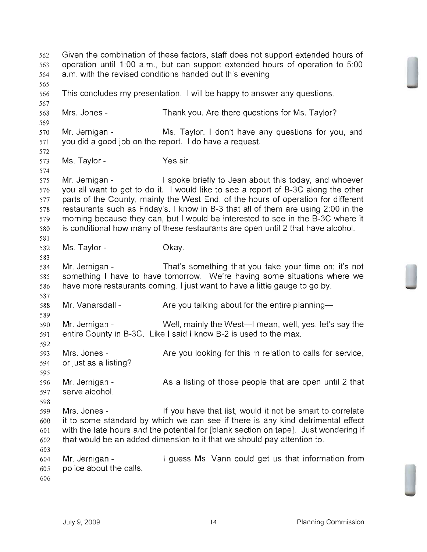Given the combination of these factors, staff does not support extended hours of operation until 1:00 a.m., but can support extended hours of operation to 5:00 a.m. with the revised conditions handed out this evening. This concludes my presentation. I will be happy to answer any questions. Mrs. Jones - Thank you. Are there questions for Ms. Taylor? Mr. Jernigan - Ms. Taylor, I don't have any questions for you, and you did a good job on the report. I do have a request. Ms. Taylor- Yes sir. Mr. Jernigan - I spoke briefly to Jean about this today, and whoever you all want to get to do it. I would like to see a report of B-3C along the other parts of the County, mainly the West End, of the hours of operation for different restaurants such as Friday's. I know in B-3 that all of them are using 2:00 in the morning because they can, but I would be interested to see in the B-3C where it is conditional how many of these restaurants are open until 2 that have alcohol. Ms. Taylor- Okay. Mr. Jernigan - That's something that you take your time on; it's not something I have to have tomorrow. We're having some situations where we have more restaurants coming. I just want to have a little gauge to go by. Mr. Vanarsdall Mr. Jernigan entire County in B-3C. Like I said I know B-2 is used to the max. Mrs. Jones-or just as a listing? Mr. Jernigan serve alcohol. Mrs. Jones Are you talking about for the entire planning-Well, mainly the West—I mean, well, yes, let's say the Are you looking for this in relation to calls for service, As a listing of those people that are open until 2 that If you have that list, would it not be smart to correlate it to some standard by which we can see if there is any kind detrimental effect with the late hours and the potential for [blank section on tape]. Just wondering if that would be an added dimension to it that we should pay attention to. Mr. Jernigan - I guess Ms. Vann could get us that information from police about the calls.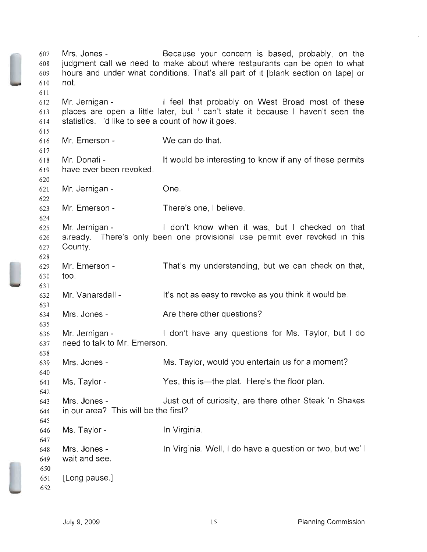607 608 609 610 611 612 613 614 615 616 617 618 619 620 621 622 623 624 625 626 627 628 629 630 631 632 633 634 635 636 637 638 639 640 641 642 643 644 645 646 647 648 649 650 651 652 Mrs. Jones - Because your concern is based, probably, on the judgment call we need to make about where restaurants can be open to what hours and under what conditions. That's all part of it [blank section on tape] or not. Mr. Jernigan - The I feel that probably on West Broad most of these places are open a little later, but I can't state it because I haven't seen the statistics. I'd like to see a count of how it goes. Mr. Emerson - Mr. Donati have ever been revoked. Mr. Jernigan - Mr. Emerson - Mr. Jernigan -We can do that. It would be interesting to know if any of these permits One. There's one, I believe. I don't know when it was, but I checked on that already. There's only been one provisional use permit ever revoked in this County. Mr. Emerson - That's my understanding, but we can check on that, too. Mr. Vanarsdall - It's not as easy to revoke as you think it would be. Mrs. Jones - The Are there other questions? Mr. Jernigan - I don't have any questions for Ms. Taylor, but I do need to talk to Mr. Emerson. Mrs. Jones - Ms. Taylor, would you entertain us for a moment? Ms. Taylor - Yes, this is—the plat. Here's the floor plan. Mrs. Jones - Just out of curiosity, are there other Steak 'n Shakes in our area? This will be the first? Ms. Taylor-Mrs. Joneswait and see. [Long pause.] In Virginia. In Virginia. Well, I do have a question or two, but we'll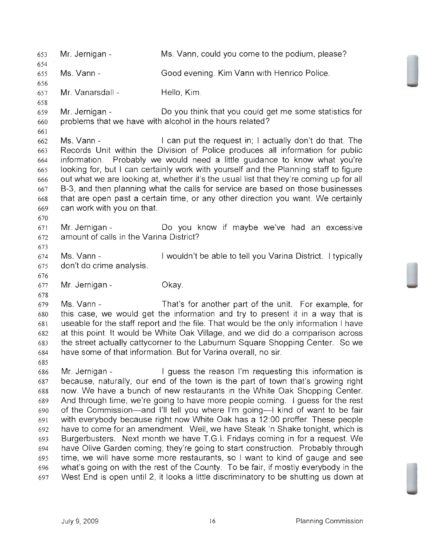Mr. Jernigan - Ms. Vann, could you come to the podium, please? Ms. Vann- Good evening. Kim Vann with Henrico Police. Mr. Vanarsdall - Hello, Kim. Mr. Jernigan - Do you think that you could get me some statistics for problems that we have with alcohol in the hours related? Ms. Vann - I can put the request in; I actually don't do that. The Records Unit within the Division of Police produces all information for public information. Probably we would need a little guidance to know what you're looking for, but I can certainly work with yourself and the Planning staff to fjgure out what we are looking at, whether it's the usual list that they're coming up for all B-3, and then planning what the calls for service are based on those businesses that are open past a certain time, or any other direction you want. We certainly can work with you on that. Mr. Jernigan - Do you know if maybe we've had an excessive 672 amount of calls in the Varina District? Ms. Vann - I wouldn't be able to tell you Varina District. I typically don't do crime analysis. Mr. Jernigan - Okay. Ms. Vann - That's for another part of the unit. For example, for this case, we would get the information and try to present it in a way that is useable for the staff report and the file. That would be the only information I have at this point. It would be White Oak Village, and we did do a comparison across the street actually cattycorner to the Laburnum Square Shopping Center. So we have some of that information. But for Varina overall, no sir. Mr. Jernigan - I guess the reason I'm requesting this information is because, naturally, our end of the town is the part of town that's growing right now. We have a bunch of new restaurants in the White Oak Shopping Center. And through time, we're going to have more people coming. I guess for the rest of the Commission-and I'll tell you where I'm going-I kind of want to be fair with everybody because right now White Oak has a 12:00 proffer. These people have to come for an amendment. Well, we have Steak 'n Shake tonight, which is Burgerbusters. Next month we have T.G.1. Fridays coming in for a request. We have Olive Garden coming; they're going to start construction. Probably through time, we will have some more restaurants, so I want to kind of gauge and see what's going on with the rest of the County. To be fair, if mostly everybody in the West End is open until 2, it looks a little discriminatory to be shutting us down at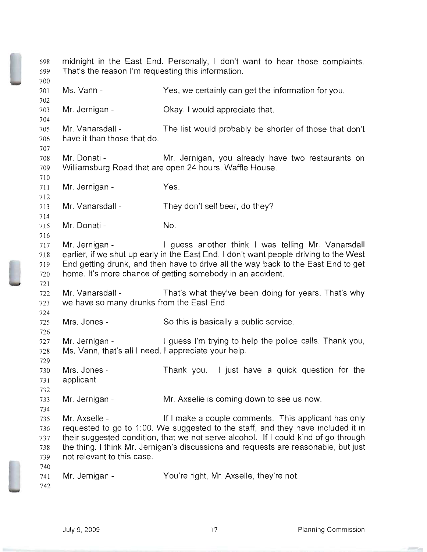| 698<br>699                             | midnight in the East End. Personally, I don't want to hear those complaints.<br>That's the reason I'm requesting this information. |                                                                                                                                                                                                                                                                                                                        |  |
|----------------------------------------|------------------------------------------------------------------------------------------------------------------------------------|------------------------------------------------------------------------------------------------------------------------------------------------------------------------------------------------------------------------------------------------------------------------------------------------------------------------|--|
| 700<br>701<br>702                      | Ms. Vann -                                                                                                                         | Yes, we certainly can get the information for you.                                                                                                                                                                                                                                                                     |  |
| 703<br>704                             | Mr. Jernigan -                                                                                                                     | Okay. I would appreciate that.                                                                                                                                                                                                                                                                                         |  |
| 705<br>706<br>707                      | Mr. Vanarsdall -<br>have it than those that do.                                                                                    | The list would probably be shorter of those that don't                                                                                                                                                                                                                                                                 |  |
| 708<br>709<br>710                      | Mr. Donati -                                                                                                                       | Mr. Jernigan, you already have two restaurants on<br>Williamsburg Road that are open 24 hours. Waffle House.                                                                                                                                                                                                           |  |
| 711<br>712                             | Mr. Jernigan -                                                                                                                     | Yes.                                                                                                                                                                                                                                                                                                                   |  |
| 713<br>714                             | Mr. Vanarsdall -                                                                                                                   | They don't sell beer, do they?                                                                                                                                                                                                                                                                                         |  |
| 715<br>716                             | Mr. Donati -                                                                                                                       | No.                                                                                                                                                                                                                                                                                                                    |  |
| 717<br>718<br>719<br>720<br>721        | Mr. Jernigan -                                                                                                                     | I guess another think I was telling Mr. Vanarsdall<br>earlier, if we shut up early in the East End, I don't want people driving to the West<br>End getting drunk, and then have to drive all the way back to the East End to get<br>home. It's more chance of getting somebody in an accident.                         |  |
| 722<br>723<br>724                      | Mr. Vanarsdall -<br>we have so many drunks from the East End.                                                                      | That's what they've been doing for years. That's why                                                                                                                                                                                                                                                                   |  |
| 725<br>726                             | Mrs. Jones -                                                                                                                       | So this is basically a public service.                                                                                                                                                                                                                                                                                 |  |
| 727<br>728<br>729                      | Mr. Jernigan -<br>Ms. Vann, that's all I need. I appreciate your help.                                                             | I guess I'm trying to help the police calls. Thank you,                                                                                                                                                                                                                                                                |  |
| 730<br>731<br>732                      | Mrs. Jones -<br>applicant.                                                                                                         | Thank you. I just have a quick question for the                                                                                                                                                                                                                                                                        |  |
| 733<br>734                             | Mr. Jernigan -                                                                                                                     | Mr. Axselle is coming down to see us now.                                                                                                                                                                                                                                                                              |  |
| 735<br>736<br>737<br>738<br>739<br>740 | Mr. Axselle -<br>not relevant to this case.                                                                                        | If I make a couple comments. This applicant has only<br>requested to go to 1:00. We suggested to the staff, and they have included it in<br>their suggested condition, that we not serve alcohol. If I could kind of go through<br>the thing. I think Mr. Jernigan's discussions and requests are reasonable, but just |  |
| 741<br>742                             | Mr. Jernigan -                                                                                                                     | You're right, Mr. Axselle, they're not.                                                                                                                                                                                                                                                                                |  |

æ ÷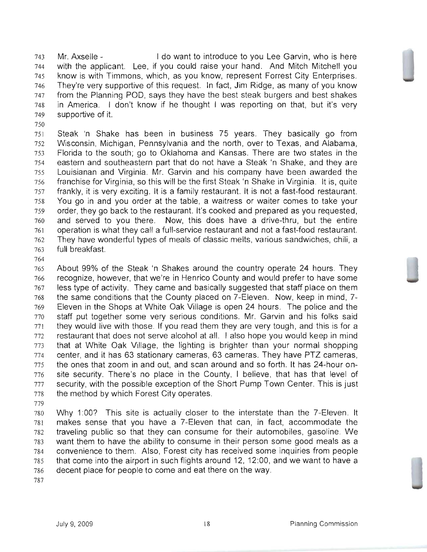Mr. Axselle I do want to introduce to you Lee Garvin, who is here with the applicant. Lee, if you could raise your hand. And Mitch Mitchell you know is with Timmons, which, as you know, represent Forrest City Enterprises. They're very supportive of this request. In fact, Jim Ridge, as many of you know from the Planning POD, says they have the best steak burgers and best shakes in America. I don't know if he thought I was reporting on that, but it's very supportive of it.

Steak "n Shake has been in business 75 years. They basically go from Wisconsin, Michigan, Pennsylvania and the north, over to Texas, and Alabama, Florida to the south; go to Oklahoma and Kansas. There are two states in the eastern and southeastern part that do not have a Steak "n Shake, and they are Louisianan and Virginia. Mr. Garvin and his company have been awarded the franchise for Virginia, so this will be the first Steak "n Shake in Virginia. It is, quite frankly, it is very exciting. It is a family restaurant. It is not a fast-food restaurant. You go in and you order at the table, a waitress or waiter comes to take your order, they go back to the restaurant. It's cooked and prepared as you requested, and served to you there. Now, this does have a drive-thru, but the entire operation is what they call a full-service restaurant and not a fast-food restaurant. They have wonderful types of meals of classic melts, various sandwiches, chili, a full breakfast.

About 99% of the Steak 'n Shakes around the country operate 24 hours. They recognize, however, that we're in Henrico County and would prefer to have some less type of activity. They came and basically suggested that staff place on them the same conditions that the County placed on 7-Eleven. Now, keep in mind, 7 Eleven in the Shops at White Oak Village is open 24 hours. The police and the staff put together some very serious conditions. Mr. Garvin and his folks said they would live with those. If you read them they are very tough, and this is for a restaurant that does not serve alcohol at all. I also hope you would keep in mind that at White Oak Village, the lighting is brighter than your normal shopping center, and it has 63 stationary cameras, 63 cameras. They have PTZ cameras, the ones that zoom in and out, and scan around and so forth. It has 24-hour on-site security. There's no place in the County, I believe, that has that level of security, with the possible exception of the Short Pump Town Center. This is just the method by which Forest City operates.

Why 1:OO? This site is actually closer to the interstate than the 7-Eleven. It makes sense that you have a 7-Eleven that can, in fact, accommodate the traveling public so that they can consume for their automobiles, gasoline. We want them to have the ability to consume in their person some good meals as a convenience to them. Also, Forest city has received some inquiries from people that come into the airport in such flights around 12, 12:00, and we want to have a decent place for people to come and eat there on the way.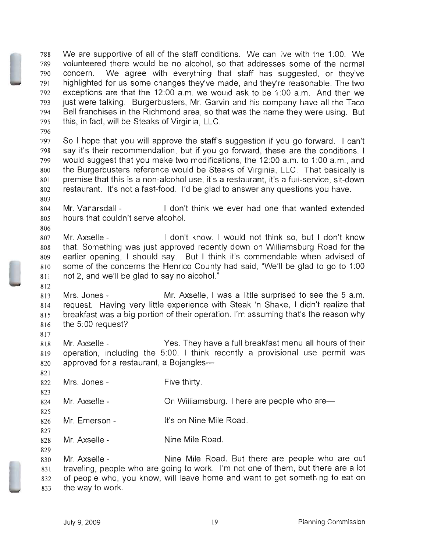We are supportive of all of the staff conditions. We can live with the 1:00. We volunteered there would be no alcohol, so that addresses some of the normal concern. We agree with everything that staff has suggested, or they've highlighted for us some changes they've made, and they're reasonable. The two exceptions are that the 12:00 a.m. we would ask to be 1:00 a.m. And then we just were talking. Burgerbusters, Mr. Garvin and his company have all the Taco Bell franchises in the Richmond area, so that was the name they were using. But this, in fact, will be Steaks of Virginia, LLC.

So I hope that you will approve the staff's suggestion if you go forward. I can't say it's their recommendation, but if you go forward, these are the conditions. I would suggest that you make two modifications, the 12:00 a.m. to 1:00 a.m., and the Burgerbusters reference would be Steaks of Virginia, LLC. That basically is premise that this is a non-alcohol use, it's a restaurant, it's a full-service, sit-down restaurant. It's not a fast-food. I'd be glad to answer any questions you have.

Mr. Vanarsdall - I don't think we ever had one that wanted extended hours that couldn't serve alcohol.

Mr. Axselle - I don't know. I would not think so, but I don't know that. Something was just approved recently down on Williamsburg Road for the earlier opening, I should say. But I think it's commendable when advised of some of the concerns the Henrico County had said, "We'll be glad to go to 1:00 not 2, and we'll be glad to say no alcohol."

Mrs. Jones - Mr. Axselle, I was a little surprised to see the 5 a.m. request. Having very little experience with Steak 'n Shake, I didn't realize that breakfast was a big portion of their operation. I'm assuming that's the reason why the 5:00 request?

Mr. Axselle - Yes. They have a full breakfast menu all hours of their operation, including the 5:00. I think recently a provisional use permit was 820 approved for a restaurant, a Bojangles-

Mrs. Jones Five thirty.

Mr. Axselle-On Williamsburg. There are people who are-

Mr. Emerson It's on Nine Mile Road.

Mr. Axselle Nine Mile Road.

Mr. Axselle Nine Mile Road. But there are people who are out traveling, people who are going to work. I'm not one of them, but there are a lot of people who, you know, will leave home and want to get something to eat on the way to work.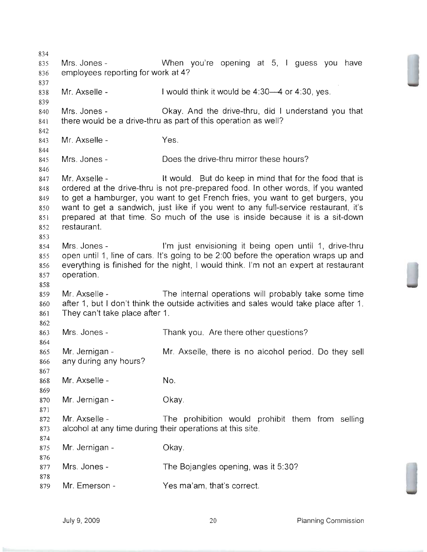Mrs. Jones - When you're opening at 5, I guess you have employees reporting for work at 4? Mr. Axselle - I would think it would be 4:30-4 or 4:30, yes. Mrs. Jones - Okay. And the drive-thru, did I understand you that there would be a drive-thru as part of this operation as well? Mr. Axselle - Yes. Mrs. Jones- Does the drive-thru mirror these hours? Mr. Axselle - It would. But do keep in mind that for the food that is ordered at the drive-thru is not pre-prepared food. In other words, if you wanted to get a hamburger, you want to get French fries, you want to get burgers, you want to get a sandwich, just like if you went to any full-service restaurant, it's prepared at that time. So much of the use is inside because it is a sit-down restaurant. 854 Mrs. Jones - I'm just envisioning it being open until 1, drive-thru open until 1, line of cars. It's going to be 2:00 before the operation wraps up and everything is finished for the night, I would think. I'm not an expert at restaurant operation. Mr. Axselle - The internal operations will probably take some time after 1, but I don't think the outside activities and sales would take place after 1. They can't take place after 1. Mrs. Jones- Thank you. Are there other questions? Mr. Jernigan - Mr. Axselle, there is no alcohol period. Do they sell any during any hours? Mr. Axselle - No. Mr. Jernigan - Okay. Mr. Axselle - The prohibition would prohibit them from selling alcohol at any time during their operations at this site. 875 Mr. Jernigan - Okay. 877 Mrs. Jones - The Bojangles opening, was it 5:30? Mr. Emerson - Yes ma'am, that's correct.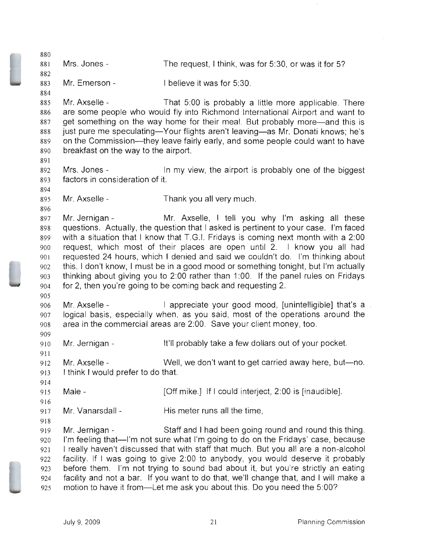Mrs. Jones - The request, I think, was for 5:30, or was it for 5? Mr. Emerson - I believe it was for 5:30. Mr. Axselle - That 5:00 is probably a little more applicable. There are some people who would fly into Richmond International Airport and want to 887 get something on the way home for their meal. But probably more—and this is 888 just pure me speculating—Your flights aren't leaving—as Mr. Donati knows; he's 889 on the Commission—they leave fairly early, and some people could want to have breakfast on the way to the airport. 892 Mrs. Jones - In my view, the airport is probably one of the biggest factors in consideration of it. Mr. Axselle - Thank you all very much. Mr. Jernigan - Mr. Axselle, I tell you why I'm asking all these questions. Actually, the question that I asked is pertinent to your case. I'm faced with a situation that I know that T.G.1. Fridays is coming next month with a 2:00 request, which most of their places are open until 2. I know you all had requested 24 hours, which I denied and said we couldn't do. I'm thinking about this. I don't know, I must be in a good mood or something tonight, but I'm actually thinking about giving you to 2:00 rather than 1:00. If the panel rules on Fridays for 2, then you're going to be coming back and requesting 2. Mr. Axselle - I appreciate your good mood, [unintelligible] that's a logical basis, especially when, as you said, most of the operations around the area in the commercial areas are 2:00. Save your client money, too. IVIr. Jernigan - It'll probably take a few dollars out of your pocket. Mr. Axselle - Well, we don't want to get carried away here, but-no. I think I would prefer to do that. Male - [Off mike.] If I could interject, 2:00 is [inaudible]. 917 Mr. Vanarsdall - His meter runs all the time, Mr. Jernigan - Staff and I had been going round and round this thing. 920 I'm feeling that—I'm not sure what I'm going to do on the Fridays' case, because I really haven't discussed that with staff that much. But you all are a non-alcohol facility. If I was going to give 2:00 to anybody, you would deserve it probably before them. I'm not trying to sound bad about it, but you're strictly an eating facility and not a bar. If you want to do that, we'll change that, and I will make a motion to have it from-Let me ask you about this. Do you need the 5:00?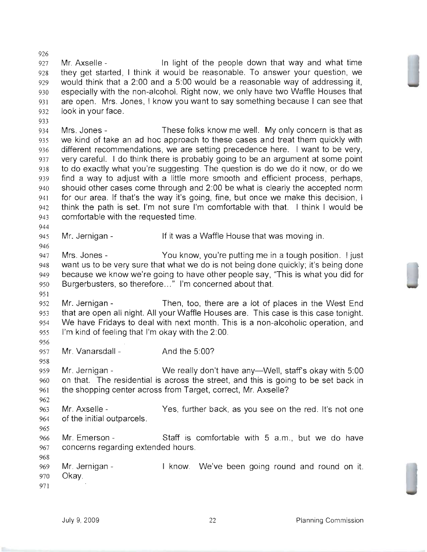Mr. Axselle - In light of the people down that way and what time they get started, I think it would be reasonable. To answer your question, we would think that a 2:00 and a 5:00 would be a reasonable way of addressing it, especially with the non-alcohol. Right now, we only have two Waffle Houses that are open. Mrs. Jones, I know you want to say something because I can see that look in your face.

Mrs. Jones - These folks know me well. My only concern is that as we kind of take an ad hoc approach to these cases and treat them quickly with different recommendations, we are setting precedence here. I want to be very, very careful. I do think there is probably going to be an argument at some point to do exactly what you're suggesting. The question is do we do it now, or do we find a way to adjust with a little more smooth and efficient process, perhaps, should other cases come through and 2:00 be what is clearly the accepted norm for our area. If that's the way it's going, fine, but once we make this decision, I think the path is set. I'm not sure I'm comfortable with that. I think I would be comfortable with the requested time.

Mr. Jernigan - If it was a Waffle House that was moving in.

947 Mrs. Jones - You know, you're putting me in a tough position. I just want us to be very sure that what we do is not being done quickly; it's being done because we know we're going to have other people say, "This is what you did for Burgerbusters, so therefore..." I'm concerned about that.

Mr. Jernigan - Then, too, there are a lot of places in the West End that are open all night. All your Waffle Houses are. This case is this case tonight. We have Fridays to deal with next month. This is a non-alcoholic operation, and I'm kind of feeling that I'm okay with the 2:00.

957 Mr. Vanarsdall - And the 5:00?

959 Mr. Jernigan - We really don't have any—Well, staff's okay with 5:00 on that. The residential is across the street, and this is going to be set back in the shopping center across from Target, correct, Mr. Axselle?

963 Mr. Axselle - Yes, further back, as you see on the red. It's not one of the initial outparcels.

Mr. Emerson - Staff is comfortable with 5 a.m., but we do have concerns regarding extended hours.

969 Mr. Jernigan - I know. We've been going round and round on it. Okay.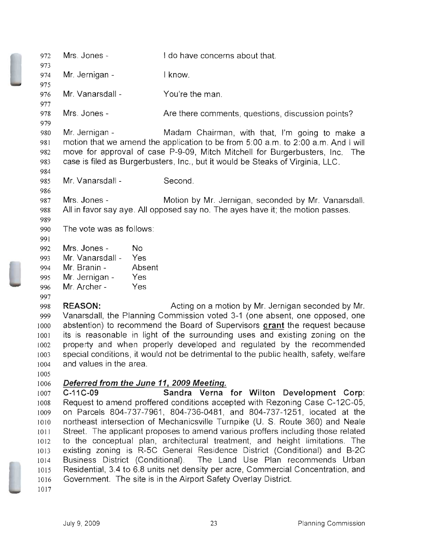| 972  | Mrs. Jones -             | I do have concerns about that.                                                    |
|------|--------------------------|-----------------------------------------------------------------------------------|
| 973  |                          |                                                                                   |
| 974  | Mr. Jernigan -           | I know.                                                                           |
| 975  |                          |                                                                                   |
| 976  | Mr. Vanarsdall -         | You're the man.                                                                   |
| 977  |                          |                                                                                   |
| 978  | Mrs. Jones -             | Are there comments, questions, discussion points?                                 |
| 979  |                          |                                                                                   |
| 980  | Mr. Jernigan -           | Madam Chairman, with that, I'm going to make a                                    |
| 981  |                          | motion that we amend the application to be from 5:00 a.m. to 2:00 a.m. And I will |
| 982  |                          | move for approval of case P-9-09, Mitch Mitchell for Burgerbusters, Inc.<br>The   |
| 983  |                          | case is filed as Burgerbusters, Inc., but it would be Steaks of Virginia, LLC.    |
| 984  |                          |                                                                                   |
| 985  | Mr. Vanarsdall -         | Second.                                                                           |
| 986  |                          |                                                                                   |
| 987  | Mrs. Jones -             | Motion by Mr. Jernigan, seconded by Mr. Vanarsdall.                               |
| 988  |                          | All in favor say aye. All opposed say no. The ayes have it; the motion passes.    |
| 989  |                          |                                                                                   |
| 990  | The vote was as follows: |                                                                                   |
| 991  |                          |                                                                                   |
| 992  | Mrs. Jones -<br>No.      |                                                                                   |
| 993  | Mr. Vanarsdall -<br>Yes  |                                                                                   |
| 994  | Mr. Branin -<br>Absent   |                                                                                   |
| 995  | Mr. Jernigan -<br>Yes    |                                                                                   |
| 996  | Mr. Archer -<br>Yes      |                                                                                   |
| 997  |                          |                                                                                   |
| 998  | <b>REASON:</b>           | Acting on a motion by Mr. Jernigan seconded by Mr.                                |
| 999  |                          | Vanarsdall, the Planning Commission voted 3-1 (one absent, one opposed, one       |
| 1000 |                          | abstention) to recommend the Board of Supervisors grant the request because       |
| 1001 |                          | its is reasonable in light of the surrounding uses and existing zoning on the     |
| 1002 |                          | property and when properly developed and regulated by the recommended             |

1004 1005

1003

## 1006 Deferred from the June 11, 2009 Meeting.

and values in the area.

1007 1008 1009 IOlO 1011 1012 1013 1014 1015 1016 C-11 C-09 Sandra Verna for Wilton Development Corp: Request to amend proffered conditions accepted with Rezoning Case C-12C-05, on Parcels 804-737-7961, 804-736-0481, and 804-737-1251, located at the northeast intersection of Mechanicsville Turnpike (U. S. Route 360) and Neale Street. The applicant proposes to amend various proffers including those related to the conceptual plan, architectural treatment, and height limitations. The existing zoning is R-5C General Residence District (Conditional) and B-2C Business District (Conditional). The Land Use Plan recommends Urban Residential, 3.4 to 6.8 units net density per acre, Commercial Concentration, and Government. The site is in the Airport Safety Overlay District.

special conditions, it would not be detrimental to the public health, safety, welfare

1017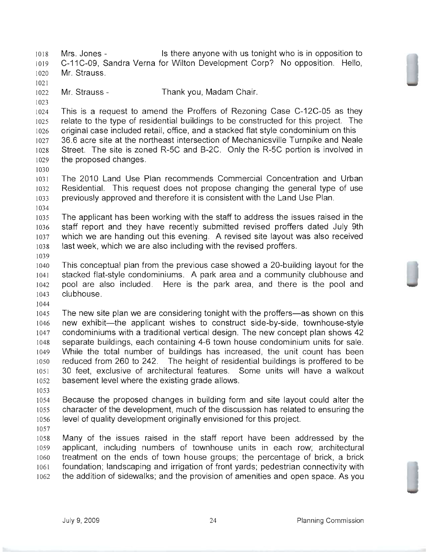Mrs. Jones - Is there anyone with us tonight who is in opposition to C-11 C-'09, Sandra Verna for Wilton Development Corp? No opposition. Hello, Mr. Strauss. Mr. Strauss - Thank you, Madam Chair. This is a request to amend the Proffers of Rezoning Case C-12C-05 as they relate to the type of residential buildings to be constructed for this project. The original case included retail, office, and a stacked flat style condominium on this 36.6 acre site at the northeast intersection of Mechanicsville Turnpike and Neale Street. The site is zoned R-5C and B-2C. Only the R-5C portion is involved in the proposed changes. The 2010 Land Use Plan recommends Commercial Concentration and Urban Residential. This request does not propose changing the general type of use previously approved and therefore it is consistent with the Land Use Plan. The applicant has been working with the staff to address the issues raised in the staff report and they have recently submitted revised proffers dated July 9th which we are handing out this evening. A revised site layout was also received last week, which we are also including with the revised proffers. This conceptual plan from the previous case showed a 20-building layout for the stacked flat-style condominiums. A park area and a community clubhouse and pool are also included. Here is the park area, and there is the pool and clubhouse. 1045 The new site plan we are considering tonight with the proffers—as shown on this 1046 new exhibit—the applicant wishes to construct side-by-side, townhouse-style condominiums with a traditional vertical design. The new concept plan shows 42 separate buildings, each containing 4-6 town house condominium units for sale. While the total number of buildings has increased, the unit count has been reduced from 260 to 242. The height of residential buildings is proffered to be 30 feet, exclusive of architectural features. Some units will have a walkout basement level where the existing grade allows. Because the proposed changes in building form and site layout could alter the character of the development, much of the discussion has related to ensuring the level of quality development originally envisioned for this project. Many of the issues raised in the staff report have been addressed by the applicant, including numbers of townhouse units in each row; architectural treatment on the ends of town house groups; the percentage of brick, a brick foundation; landscaping and irrigation of front yards; pedestrian connectivity with

the addition of sidewalks; and the provision of amenities and open space. As you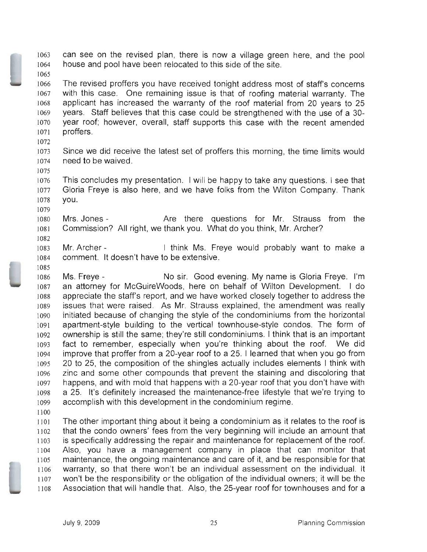can see on the revised plan, there is now a village green here, and the pool house and pool have been relocated to this side of the site.

- The revised proffers you have received tonight address most of staff's concerns with this case. One remaining issue is that of roofing material warranty. The applicant has increased the warranty of the roof material from 20 years to 25 years. Staff believes that this case could be strengthened with the use of a 30 year roof; however, overall, staff supports this case with the recent amended proffers.
- 

- Since we did receive the latest set of proffers this morning, the time limits would need to be waived.
- This concludes my presentation. I will be happy to take any questions. I see that Gloria Freye is also here, and we have folks from the Wilton Company. Thank you.
- 1080 Mrs. Jones The Are there questions for Mr. Strauss from the Commission? All right, we thank you. What do you think, Mr. Archer?
- 1083 Mr. Archer I think Ms. Freye would probably want to make a comment. It doesn't have to be extensive.
- 1086 Ms. Freye **No sir. Good evening. My name is Gloria Freye.** I'm an attorney for McGuireWoods, here on behalf of Wilton Development. I do appreciate the staff's report, and we have worked closely together to address the issues that were raised. As Mr. Strauss explained, the amendment was really initiated because of changing the style of the condominiums from the horizontal apartment-style building to the vertical townhouse-style condos. The form of ownership is still the same; they're still condominiums. I think that is an important fact to remember, especially when you're thinking about the roof. We did improve that proffer from a 20-year roof to a 25. I learned that when you go from 20 to 25, the composition of the shingles actually includes elements I think with zinc and some other compounds that prevent the staining and discoloring that happens, and with mold that happens with a 20-year roof that you don't have with a 25. It's definitely increased the maintenance-free lifestyle that we're trying to accomplish with this development in the condominium regime.
- 

The other important thing about it being a condominium as it relates to the roof is that the condo owners' fees from the very beginning will include an amount that is specifically addressing the repair and maintenance for replacement of the roof. Also, you have a management company in place that can monitor that maintenance, the ongoing maintenance and care of it, and be responsible for that warranty, so that there won't be an individual assessment on the individual. It won't be the responsibility or the obligation of the individual owners; it will be the Association that will handle that. Also, the 25-year roof for townhouses and for a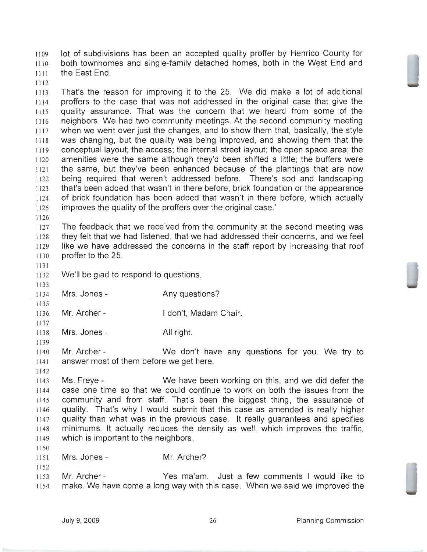lot of subdivisions has been an accepted quality proffer by Henrico County for both townhomes and single-family detached homes, both in the West End and the East End.

]150

That's the reason for improving it to the 25. We did make a lot of additional proffers to the case that was not addressed in the original case that give the quality assurance. That was the concern that we heard from some of the neighbors. We had two community meetings. At the second community meeting when we went over just the changes, and to show them that, basically, the style was changing, but the quality was being improved, and showing them that the conceptual layout; the access; the internal street layout; the open space area; the amenities were the same although they'd been shifted a little; the buffers were the same, but they've been enhanced because of the plantings that are now being required that weren't addressed before. There's sod and landscaping that's been added that wasn't in there before; brick foundation or the appearance of brick foundation has been added that wasn't in there before, which actually improves the quality of the proffers over the original case.'

The feedback that we received from the community at the second meeting was they felt that we had listened, that we had addressed their concerns, and we feel like we have addressed the concerns in the staff report by increasing that roof proffer to the 25.

We'll be glad to respond to questions.

Mrs. Jones- Any questions?

Mr. Archer- I don't, Madam Chair.

Mrs. Jones - All right.

Mr. Archer - We don't have any questions for you. We try to answer most of them before we get here.

Ms. Freye - We have been working on this, and we did defer the case one time so that we could continue to work on both the issues from the community and from staff. That's been the biggest thing, the assurance of quality. That's why I would submit that this case as amended is really higher quality than what was in the previous case. It really guarantees and specifies minimums. It actually reduces the density as well, which improves the traffic, which is important to the neighbors.

Mrs. Jones- Mr. Archer?

Mr. Archer - Yes ma'am. Just a few comments I would like to make. We have come a long way with this case. When we said we improved the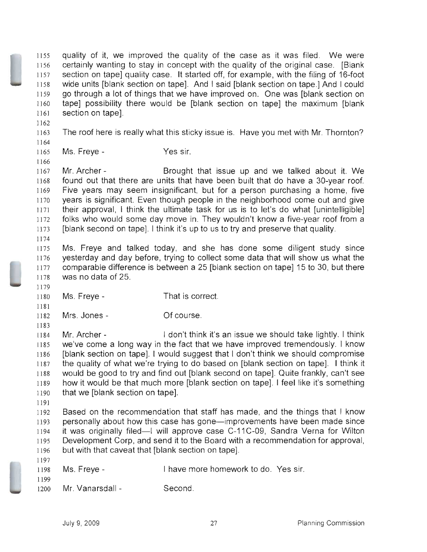quality of it, we improved the quality of the case as it was filed. We were certainly wanting to stay in concept with the quality of the original case. [Blank section on tape] quality case. It started off, for example, with the filing of 16-foot wide units [blank section on tape]. And I said [blank section on tape.] And I could go through a lot of things that we have improved on. One was [blank section on tape] possibility there would be [blank section on tape] the maximum [blank section on tape].

The roof here is really what this sticky issue is. Have you met with Mr. Thornton?

Ms. Freye- Yes sir.

Mr. Archer - Brought that issue up and we talked about it. We found out that there are units that have been built that do have a 3D-year roof. Five years may seem insignificant, but for a person purchasing a home, five years is significant. Even though people in the neighborhood come out and give their approval, I think the ultimate task for us is to let's do what [unintelligible] folks who would some day move in. They wouldn't know a five-year roof from a [blank second on tape]. I think it's up to us to try and preserve that quality.

Ms. Freye and talked today, and she has done some diligent study since yesterday and day before, trying to collect some data that will show us what the comparable difference is between a 25 [blank section on tape] 15 to 30, but there was no data of 25.

Ms. Freye- That is correct.

Mrs. Jones- Of course.

Mr. Archer - I don't think it's an issue we should take lightly. I think we've come a long way in the fact that we have improved tremendously. I know [blank section on tape]. I would suggest that I don't think we should compromise the quality of what we're trying to do based on [blank section on tape]. I think it would be good to try and find out [blank second on tape]. Quite frankly, can't see how it would be that much more [blank section on tape]. I feel like it's something that we [blank section on tape].

Based on the recommendation that staff has made, and the things that I know 1193 personally about how this case has gone-improvements have been made since 1194 it was originally filed-I will approve case C-11C-09, Sandra Verna for Wilton Development Corp, and send it to the Board with a recommendation for approval, but with that caveat that [blank section on tape].

|      | $1198$ Ms. Freye - | I have more homework to do. Yes sir. |  |
|------|--------------------|--------------------------------------|--|
| 1199 |                    |                                      |  |

1200 Mr. Vanarsdall - Second.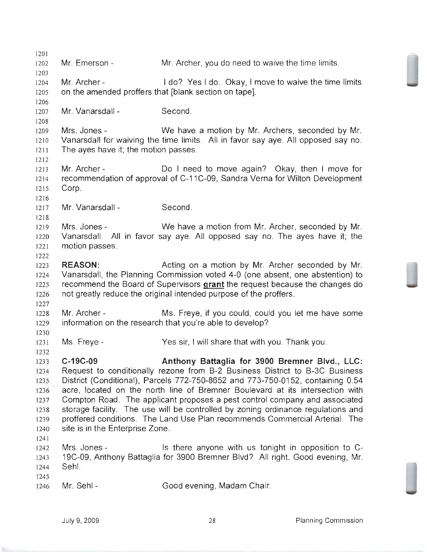Mr. Emerson Mr. Archer - Mr. Archer, you do need to waive the time limits. I do? Yes I do. Okay, I move to waive the time limits on the amended proffers that [blank section on tape]. 1207 Mr. Vanarsdall - Second. Mrs. Jones - We have a motion by Mr. Archers, seconded by Mr. Vanarsdall for waiving the time limits. All in favor say aye. All opposed say no. The ayes have it; the motion passes. Mr. Archer - Do I need to move again? Okay, then I move for recommendation of approval of C-11 C-09, Sandra Verna for Wilton Development Corp. Mr. Vanarsdall Mrs. Jones Vanarsdall. All in favor say aye. All opposed say no. The ayes have it; the motion passes. REASON: Second. We have a motion from Mr. Archer, seconded by Mr. Acting on a motion by Mr. Archer seconded by Mr. Vanarsdall, the Planning Commission voted 4-0 (one absent, one abstention) to 1225 recommend the Board of Supervisors grant the request because the changes do not greatly reduce the original intended purpose of the proffers. Mr. Archer - Ms. Freye, if you could, could you let me have some information on the research that you're able to develop? Ms. Freye- Yes sir, I will share that with you. Thank you. C-19C-09 Anthony Battaglia for 3900 Bremner Blvd., LLC: Request to conditionally rezone from B-2 Business District to B-3C Business District (Conditional), Parcels 772-750-8652 and 773-750-0152, containing 0.54 acre, located on the north line of Bremner Boulevard at its intersection with Compton Road. The applicant proposes a pest control company and associated storage facility. The use will be controlled by zoning ordinance regulations and proffered conditions. The Land Use Plan recommends Commercial Arterial. The site is in the Enterprise Zone. Mrs. Jones - Is there anyone with us tonight in opposition to C-19C-09, Anthony Battaglia for 3900 Bremner Blvd? All right. Good evening, Mr. Sehl. 1246 Mr. Sehl - Good evening, Madam Chair.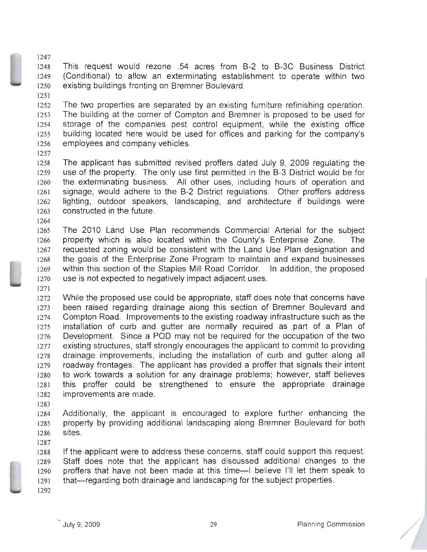This request would rezone .54 acres from B-2 to B-3C Business District (Conditional) to allow an exterminating establishment to operate within two existing buildings fronting on Bremner Boulevard.

The two properties are separated by an existing furniture refinishing operation. The building at the corner of Compton and Bremner is proposed to be used for storage of the companies pest control equipment, while the existing office building located here would be used for offices and parking for the company's employees and company vehicles.

- The applicant has submitted revised proffers dated July 9, 2009 regulating the use of the property. The only use first permitted in the B-3 District would be for the exterminating business. All other uses, including hours of operation and signage, would adhere to the B-2 District regulations. Other proffers address lighting, outdoor speakers, landscaping, and architecture if buildings were constructed in the future.
- 

The 2010 Land Use Plan recommends Commercial Arterial for the subject property which is also located within the County's Enterprise Zone. The requested zoning would be consistent with the Land Use Plan designation and the goals of the Enterprise Zone Program to maintain and expand businesses within this section of the Staples Mill Road Corridor. In addition, the proposed use is not expected to negatively impact adjacent uses.

While the proposed use could be appropriate, staff does note that concerns have been raised regarding drainage along this section of Bremner Boulevard and Compton Road. Improvements to the existing roadway infrastructure such as the installation of curb and gutter are normally required as part of a Plan of Development. Since a POD may not be required for the occupation of the two existing structures, staff strongly encourages the applicant to commit to providing drainage improvements, including the installation of curb and gutter along all roadway frontages. The applicant has provided a proffer that signals their intent to work towards a solution for any drainage problems; however, staff believes this proffer could be strengthened to ensure the appropriate drainage improvements are made.

Additionally, the applicant is encouraged to explore further enhancing the property by providing additional landscaping along Bremner Boulevard for both sites.

If the applicant were to address these concerns, staff could support this request. Staff does note that the applicant has discussed additional changes to the 1290 proffers that have not been made at this time-I believe I'll let them speak to that-regarding both drainage and landscaping for the subject properties.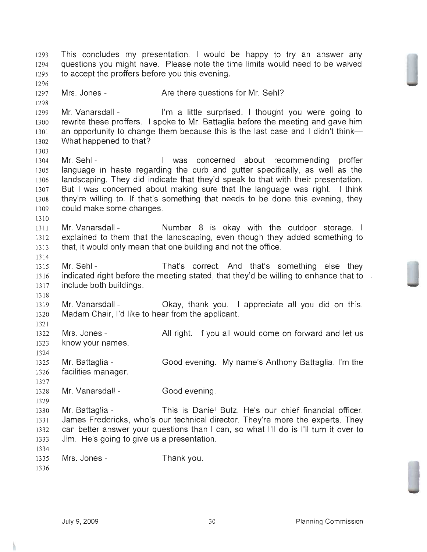This concludes my presentation. I would be happy to try an answer any questions you might have. Please note the time limits would need to be waived to accept the proffers before you this evening. Mrs. Jones - Are there questions for Mr. Sehl? Mr. Vanarsdall - I'm a little surprised. I thought you were going to rewrite these proffers. I spoke to Mr. Battaglia before the meeting and gave him 1301 an opportunity to change them because this is the last case and I didn't think-What happened to that? 1304 Mr. Sehl - The Music Concerned about recommending proffer language in haste regarding the curb and gutter specifically, as well as the landscaping. They did indicate that they'd speak to that with their presentation. But I was concerned about making sure that the language was right. I think they're willing to. If that's something that needs to be done this evening, they could make some changes. 1311 Mr. Vanarsdall - Number 8 is okay with the outdoor storage. I explained to them that the landscaping, even though they added something to that, it would only mean that one building and not the office. Mr. Sehl - That's correct. And that's something else they indicated right before the meeting stated, that they'd be willing to enhance that to include both buildings. Mr. Vanarsdall - Okay, thank you. I appreciate all you did on this. Madam Chair, I'd like to hear from the applicant. 1322 Mrs. Jones - All right. If you all would come on forward and let us know your names. Mr. Battaglia Good evening. My name's Anthony Battaglia. I'm the facilities manager. Mr. Vanarsdall - Good evening. Mr. Battaglia - This is Daniel Butz. He's our chief financial officer. James Fredericks, who's our technical director. They're more the experts. They can better answer your questions than I can, so what I'll do is I'll turn it over to Jim. He's going to give us a presentation. Mrs. Jones - Thank you.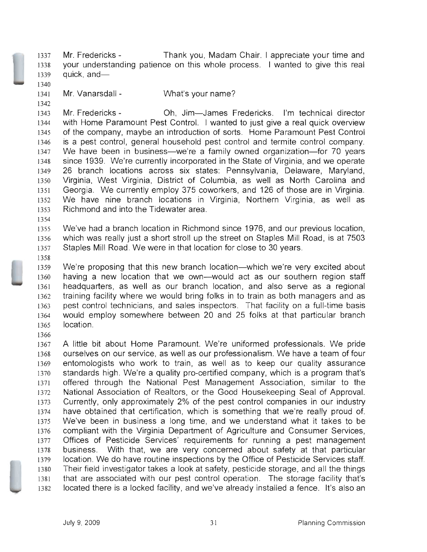Mr. Fredericks - Thank you, Madam Chair. I appreciate your time and your understanding patience on this whole process. I wanted to give this real quick, and-

Mr. Vanarsdall - What's your name?

Mr. Fredericks - Oh, Jim-James Fredericks. I'm technical director with Home Paramount Pest Control. I wanted to just give a real quick overview of the company, maybe an introduction of sorts. Home Paramount Pest Control is a pest control, general household pest control and termite control company. 1347 We have been in business—we're a family owned organization—for 70 years since 1939. We're currently incorporated in the State of Virginia, and we operate 26 branch locations across six states: Pennsylvania, Delaware, Maryland, Virginia, West Virginia, District of Columbia, as well as North Carolina and Georgia. We currently employ 375 coworkers, and 126 of those are in Virginia. We have nine branch locations in Virginia, Northern Virginia, as well as Richmond and into the Tidewater area.

We've had a branch location in Richmond since 1976, and our previous location, which was really just a short stroll up the street on Staples Mill Road, is at 7503 Staples Mill Road. We were in that location for close to 30 years.

1359 We're proposing that this new branch location—which we're very excited about having a new location that we own-would act as our southern region staff headquarters, as well as our branch location, and also serve as a regional training facility where we would bring folks in to train as both managers and as pest control technicians, and sales inspectors. That facility on a full-time basis would employ somewhere between 20 and 25 folks at that particular branch location.

A little bit about Home Paramount. We're uniformed professionals. We pride ourselves on our service, as well as our professionalism. We have a team of four entomologists who work to train, as well as to keep our quality assurance standards high. We're a quality pro-certified company, which is a program that's offered through the National Pest Management Association, similar to the National Association of Realtors, or the Good Housekeeping Seal of Approval. Currently, only approximately 2% of the pest control companies in our industry have obtained that certification, which is something that we're really proud of. We've been in business a long time, and we understand what it takes to be compliant with the Virginia Department of Agriculture and Consumer Services, Offices of Pesticide Services' requirements for running a pest management business. With that, we are very concerned about safety at that particular location. We do have routine inspections by the Office of Pesticide Services staff. Their field investigator takes a look at safety, pesticide storage, and all the things that are associated with our pest control operation. The storage facility that's located there is a locked facility, and we've already installed a fence. It's also an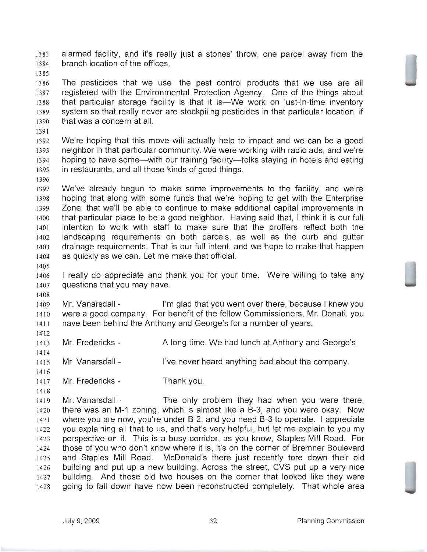alarmed facility, and it's really just a stones' throw, one parcel away from the branch location of the offices.

The pesticides that we use, the pest control products that we use are all registered with the Environmental Protection Agency. One of the things about that particular storage facility is that it is-We work on just-in-time inventory system so that really never are stockpiling pesticides in that particular location, if that was a concern at all.

We're hoping that this move will actually help to impact and we can be a good neighbor in that particular community. We were working with radio ads, and we're 1394 hoping to have some—with our training facility—folks staying in hotels and eating in restaurants, and all those kinds of good things.

We've already begun to make some improvements to the facility, and we're hoping that along with some funds that we're hoping to get with the Enterprise Zone, that we'll be able to continue to make additional capital improvements in that particular place to be a good neighbor. Having said that, I think it is our full intention to work with staff to make sure that the proffers reflect both the landscaping requirements on both parcels, as well as the curb and gutter drainage requirements. That is our full intent, and we hope to make that happen as quickly as we can. Let me make that official.

I really do appreciate and thank you for your time. We're willing to take any questions that you may have.

1409 Mr. Vanarsdall - I'm glad that you went over there, because I knew you were a good company. For benefit of the fellow Commissioners, Mr. Donati, you have been behind the Anthony and George's for a number of years.

1413 Mr. Fredericks - A long time. We had lunch at Anthony and George's.

Mr. Vanarsdall - I've never heard anything bad about the company.

1417 Mr. Fredericks - Thank you.

1419 Mr. Vanarsdall - The only problem they had when you were there, there was an M-1 zoning, which is almost like a B-3, and you were okay. Now where you are now, you're under B-2, and you need B-3 to operate. I appreciate you explaining all that to us, and that's very helpful, but let me explain to you my perspective on it. This is a busy corridor, as you know, Staples Mill Road. For those of you who don't know where it is, it's on the corner of Bremner Boulevard and Staples Mill Road. McDonald's there just recently tore down their old building and put up a new building. Across the street, CVS put up a very nice building. And those old two houses on the corner that looked like they were going to fall down have now been reconstructed completely. That whole area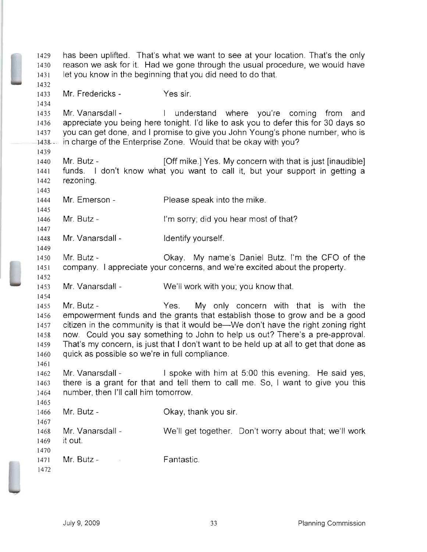has been uplifted. That's what we want to see at your location. That's the only reason we ask for it. Had we gone through the usual procedure, we would have let you know in the beginning that you did need to do that. Mr. Fredericks - Yes sir. Mr. Vanarsdall - I understand where you're coming from and appreciate you being here tonight. I'd like to ask you to defer this for 30 days so you can get done, and I promise to give you John Young's phone number, who is 1438-- in charge of the Enterprise Zone. Would that be okay with you? Mr. Butz - [Off mike.] Yes. My concern with that is just [inaudible] funds. I don't know what you want to call it, but your support in getting a rezoning. Mr. Emerson - Please speak into the mike. 1446 Mr. Butz - I'm sorry; did you hear most of that? 1448 Mr. Vanarsdall - Identify yourself. Mr. Butz Okay. My name's Daniel Butz. I'm the CFO of the company. I appreciate your concerns, and we're excited about the property. Mr. Vanarsdall - We'll work with you; you know that. Mr. Butz - Yes. My only concern with that is with the empowerment funds and the grants that establish those to grow and be a good 1457 citizen in the community is that it would be—We don't have the right zoning right now. Could you say something to John to help us out? There's a pre-approval. That's my concern, is just that I don't want to be held up at all to get that done as quick as possible so we're in full compliance. Mr. Vanarsdall - I spoke with him at 5:00 this evening. He said yes, there is a grant for that and tell them to call me. So, I want to give you this number, then I'll call him tomorrow. Mr. Butz-Okay, thank you sir. Mr. Vanarsdall We'll get together. Don't worry about that; we'll work it out. Mr. Butz Fantastic.  $\mathcal{L}^{\text{max}}_{\text{max}}$  and  $\mathcal{L}^{\text{max}}_{\text{max}}$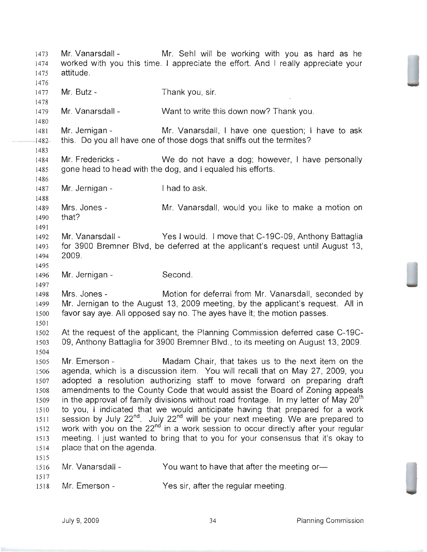1473 Mr. Vanarsdall - Mr. Sehl will be working with you as hard as he worked with you this time. I appreciate the effort. And I really appreciate your attitude. Mr. Butz- Thank you, sir. Mr. Vanarsdall - Want to write this down now? Thank you. Mr. Jernigan - Mr. Vanarsdall, I have one question; I have to ask -1482 this. Do you all have one of those dogs that sniffs out the termites? Mr. Fredericks - We do not have a dog; however, I have personally gone head to head with the dog, and I equaled his efforts. 1487 Mr. Jernigan - I had to ask. 1489 Mrs. Jones - Mr. Vanarsdall, would you like to make a motion on that? Mr. Vanarsdall - Yes I would. I move that C-19C-09, Anthony Battaglia for 3900 Bremner Blvd, be deferred at the applicant's request until August 13, 2009. Mr. Jernigan - Second. Mrs. Jones - Motion for deferral from Mr. Vanarsdall, seconded by Mr. Jernigan to the August 13, 2009 meeting, by the applicant's request. All in favor say aye. All opposed say no. The ayes have it; the motion passes. At the request of the applicant, the Planning Commission deferred case C-19C-09, Anthony Battaglia for 3900 Bremner Blvd., to its meeting on August 13, 2009. Mr. Emerson - Madam Chair, that takes us to the next item on the agenda, which is a discussion item. You will recall that on May 27, 2009, you adopted a resolution authorizing staff to move forward on preparing draft amendments to the County Code that would assist the Board of Zoning appeals 1509 in the approval of family divisions without road frontage. In my letter of May  $20^{th}$ to you, I indicated that we would anticipate having that prepared for a work 1511 session by July  $22^{nd}$ . July  $22^{nd}$  will be your next meeting. We are prepared to 1512 work with you on the  $22^{nd}$  in a work session to occur directly after your regular meeting. I just wanted to bring that to you for your consensus that it's okay to place that on the agenda. 1516 Mr. Vanarsdall - You want to have that after the meeting or- Mr. Emerson - Yes sir, after the regular meeting.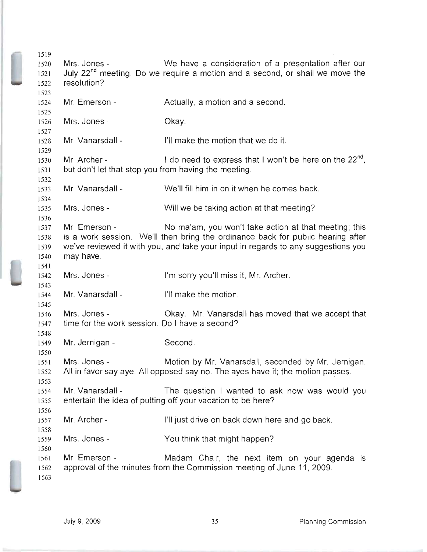Mrs. Jones - We have a consideration of a presentation after our July 22<sup>nd</sup> meeting. Do we require a motion and a second, or shall we move the resolution? Mr. Emerson - Actually, a motion and a second. Mrs. Jones - Okay. Mr. Vanarsdall - I'll make the motion that we do it. 1530 Mr. Archer -  $\blacksquare$  I do need to express that I won't be here on the  $22^{n\sigma}$ , but don't let that stop you from having the meeting. Mr. Vanarsdall - We'll fill him in on it when he comes back. Mrs. Jones - Will we be taking action at that meeting? Mr. Emerson - No ma'am, you won't take action at that meeting; this is a work session. We'll then bring the ordinance back for public hearing after we've reviewed it with you, and take your input in regards to any suggestions you may have. Mrs. Jones - I'm sorry you'll miss it, Mr. Archer. Mr. Vanarsdall - I'll make the motion. Mrs. Jones - Okay. Mr. Vanarsdall has moved that we accept that time for the work session. Do I have a second? Mr. Jernigan - Second. Mrs. Jones - Motion by Mr. Vanarsdall, seconded by Mr. Jernigan. All in favor say aye. All opposed say no. The ayes have it; the motion passes. Mr. Vanarsdall - The question I wanted to ask now was would you entertain the idea of putting off your vacation to be here? Mr. Archer- I'll just drive on back down here and go back. Mrs. Jones - You think that might happen? Mr. Emerson - Madam Chair, the next item on your agenda is approval of the minutes from the Commission meeting of June 11, 2009.